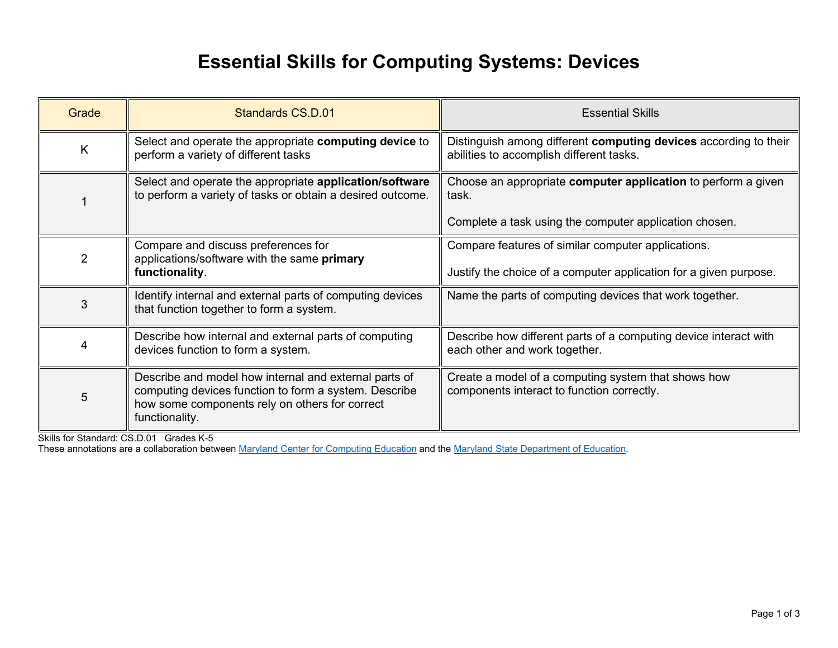## **Essential Skills for Computing Systems: Devices**

| Grade          | Standards CS.D.01                                                                                                                                                                  | <b>Essential Skills</b>                                                                                      |
|----------------|------------------------------------------------------------------------------------------------------------------------------------------------------------------------------------|--------------------------------------------------------------------------------------------------------------|
| K              | Select and operate the appropriate computing device to<br>perform a variety of different tasks                                                                                     | Distinguish among different computing devices according to their<br>abilities to accomplish different tasks. |
|                | Select and operate the appropriate <b>application/software</b><br>to perform a variety of tasks or obtain a desired outcome.                                                       | Choose an appropriate computer application to perform a given<br>task.                                       |
|                |                                                                                                                                                                                    | Complete a task using the computer application chosen.                                                       |
| $\overline{2}$ | Compare and discuss preferences for<br>applications/software with the same primary                                                                                                 | Compare features of similar computer applications.                                                           |
|                | functionality.                                                                                                                                                                     | Justify the choice of a computer application for a given purpose.                                            |
| 3              | Identify internal and external parts of computing devices<br>that function together to form a system.                                                                              | Name the parts of computing devices that work together.                                                      |
| 4              | Describe how internal and external parts of computing<br>devices function to form a system.                                                                                        | Describe how different parts of a computing device interact with<br>each other and work together.            |
| 5              | Describe and model how internal and external parts of<br>computing devices function to form a system. Describe<br>how some components rely on others for correct<br>functionality. | Create a model of a computing system that shows how<br>components interact to function correctly.            |

Skills for Standard: CS.D.01 Grades K-5

These annotations are a collaboration betwee[n Maryland Center for Computing Education](https://cs4md.com/) and th[e Maryland State Department of Education.](http://marylandpublicschools.org/programs/Pages/CTE/ComputerScience/CS.aspx)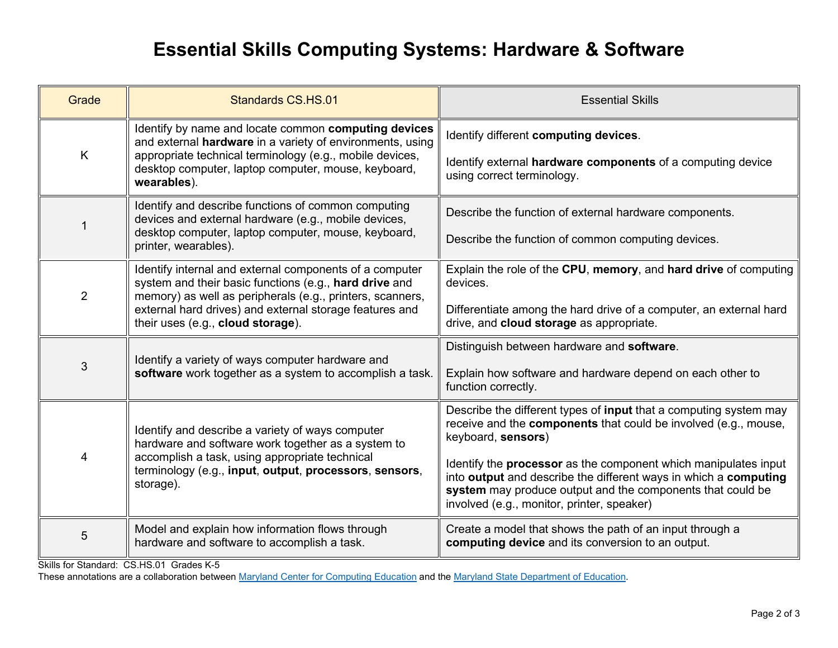## **Essential Skills Computing Systems: Hardware & Software**

| Grade          | Standards CS.HS.01                                                                                                                                                                                                                                                             | <b>Essential Skills</b>                                                                                                                                                                                                                                |
|----------------|--------------------------------------------------------------------------------------------------------------------------------------------------------------------------------------------------------------------------------------------------------------------------------|--------------------------------------------------------------------------------------------------------------------------------------------------------------------------------------------------------------------------------------------------------|
| K              | Identify by name and locate common computing devices<br>and external hardware in a variety of environments, using<br>appropriate technical terminology (e.g., mobile devices,<br>desktop computer, laptop computer, mouse, keyboard,<br>wearables).                            | Identify different computing devices.                                                                                                                                                                                                                  |
|                |                                                                                                                                                                                                                                                                                | Identify external hardware components of a computing device<br>using correct terminology.                                                                                                                                                              |
|                | Identify and describe functions of common computing<br>devices and external hardware (e.g., mobile devices,                                                                                                                                                                    | Describe the function of external hardware components.                                                                                                                                                                                                 |
|                | desktop computer, laptop computer, mouse, keyboard,<br>printer, wearables).                                                                                                                                                                                                    | Describe the function of common computing devices.                                                                                                                                                                                                     |
| $\overline{2}$ | Identify internal and external components of a computer<br>system and their basic functions (e.g., hard drive and<br>memory) as well as peripherals (e.g., printers, scanners,<br>external hard drives) and external storage features and<br>their uses (e.g., cloud storage). | Explain the role of the CPU, memory, and hard drive of computing<br>devices.                                                                                                                                                                           |
|                |                                                                                                                                                                                                                                                                                | Differentiate among the hard drive of a computer, an external hard<br>drive, and cloud storage as appropriate.                                                                                                                                         |
| 3              | Identify a variety of ways computer hardware and<br>software work together as a system to accomplish a task.                                                                                                                                                                   | Distinguish between hardware and software.                                                                                                                                                                                                             |
|                |                                                                                                                                                                                                                                                                                | Explain how software and hardware depend on each other to<br>function correctly.                                                                                                                                                                       |
| 4              | Identify and describe a variety of ways computer<br>hardware and software work together as a system to<br>accomplish a task, using appropriate technical<br>terminology (e.g., input, output, processors, sensors,<br>storage).                                                | Describe the different types of input that a computing system may<br>receive and the components that could be involved (e.g., mouse,<br>keyboard, sensors)                                                                                             |
|                |                                                                                                                                                                                                                                                                                | Identify the <b>processor</b> as the component which manipulates input<br>into output and describe the different ways in which a computing<br>system may produce output and the components that could be<br>involved (e.g., monitor, printer, speaker) |
| 5              | Model and explain how information flows through<br>hardware and software to accomplish a task.                                                                                                                                                                                 | Create a model that shows the path of an input through a<br>computing device and its conversion to an output.                                                                                                                                          |

Skills for Standard: CS.HS.01 Grades K-5

These annotations are a collaboration betwee[n Maryland Center for Computing Education](https://cs4md.com/) and th[e Maryland State Department of Education.](http://marylandpublicschools.org/programs/Pages/CTE/ComputerScience/CS.aspx)